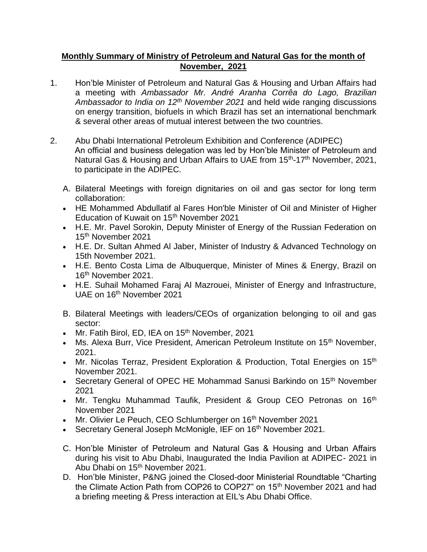## **Monthly Summary of Ministry of Petroleum and Natural Gas for the month of November, 2021**

- 1. Hon'ble Minister of Petroleum and Natural Gas & Housing and Urban Affairs had a meeting with *Ambassador Mr. André Aranha Corrêa do Lago, Brazilian Ambassador to India on 12th November 2021* and held wide ranging discussions on energy transition, biofuels in which Brazil has set an international benchmark & several other areas of mutual interest between the two countries.
- 2. Abu Dhabi International Petroleum Exhibition and Conference (ADIPEC) An official and business delegation was led by Hon'ble Minister of Petroleum and Natural Gas & Housing and Urban Affairs to UAE from 15<sup>th</sup>-17<sup>th</sup> November, 2021, to participate in the ADIPEC.
	- A. Bilateral Meetings with foreign dignitaries on oil and gas sector for long term collaboration:
	- HE Mohammed Abdullatif al Fares Hon'ble Minister of Oil and Minister of Higher Education of Kuwait on 15<sup>th</sup> November 2021
	- H.E. Mr. Pavel Sorokin, Deputy Minister of Energy of the Russian Federation on 15th November 2021
	- H.E. Dr. Sultan Ahmed Al Jaber, Minister of Industry & Advanced Technology on 15th November 2021.
	- H.E. Bento Costa Lima de Albuquerque, Minister of Mines & Energy, Brazil on 16th November 2021.
	- H.E. Suhail Mohamed Faraj Al Mazrouei, Minister of Energy and Infrastructure, UAE on 16th November 2021
	- B. Bilateral Meetings with leaders/CEOs of organization belonging to oil and gas sector:
	- Mr. Fatih Birol, ED, IEA on 15<sup>th</sup> November, 2021
	- Ms. Alexa Burr, Vice President, American Petroleum Institute on 15<sup>th</sup> November, 2021.
	- Mr. Nicolas Terraz, President Exploration & Production, Total Energies on 15<sup>th</sup> November 2021.
	- Secretary General of OPEC HE Mohammad Sanusi Barkindo on 15<sup>th</sup> November 2021
	- Mr. Tengku Muhammad Taufik, President & Group CEO Petronas on 16<sup>th</sup> November 2021
	- Mr. Olivier Le Peuch, CEO Schlumberger on 16<sup>th</sup> November 2021
	- Secretary General Joseph McMonigle, IEF on 16<sup>th</sup> November 2021.
	- C. Hon'ble Minister of Petroleum and Natural Gas & Housing and Urban Affairs during his visit to Abu Dhabi, Inaugurated the India Pavilion at ADIPEC- 2021 in Abu Dhabi on 15th November 2021.
	- D. Hon'ble Minister, P&NG joined the Closed-door Ministerial Roundtable "Charting the Climate Action Path from COP26 to COP27" on 15th November 2021 and had a briefing meeting & Press interaction at EIL's Abu Dhabi Office.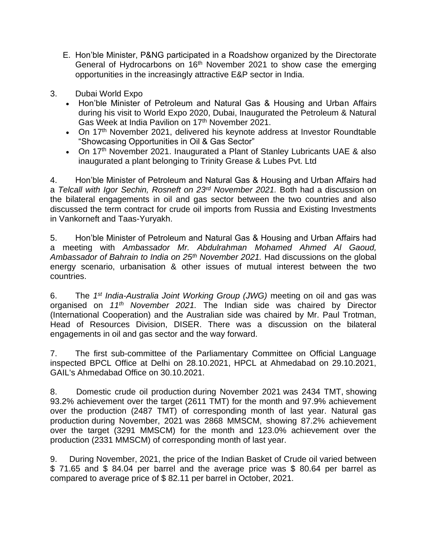- E. Hon'ble Minister, P&NG participated in a Roadshow organized by the Directorate General of Hydrocarbons on 16<sup>th</sup> November 2021 to show case the emerging opportunities in the increasingly attractive E&P sector in India.
- 3. Dubai World Expo
	- Hon'ble Minister of Petroleum and Natural Gas & Housing and Urban Affairs during his visit to World Expo 2020, Dubai, Inaugurated the Petroleum & Natural Gas Week at India Pavilion on 17<sup>th</sup> November 2021.
	- On 17<sup>th</sup> November 2021, delivered his keynote address at Investor Roundtable "Showcasing Opportunities in Oil & Gas Sector"
	- On 17<sup>th</sup> November 2021. Inaugurated a Plant of Stanley Lubricants UAE & also inaugurated a plant belonging to Trinity Grease & Lubes Pvt. Ltd

4. Hon'ble Minister of Petroleum and Natural Gas & Housing and Urban Affairs had a *Telcall with Igor Sechin, Rosneft on 23rd November 2021.* Both had a discussion on the bilateral engagements in oil and gas sector between the two countries and also discussed the term contract for crude oil imports from Russia and Existing Investments in Vankorneft and Taas-Yuryakh.

5. Hon'ble Minister of Petroleum and Natural Gas & Housing and Urban Affairs had a meeting with *Ambassador Mr. Abdulrahman Mohamed Ahmed Al Gaoud, Ambassador of Bahrain to India on 25th November 2021.* Had discussions on the global energy scenario, urbanisation & other issues of mutual interest between the two countries.

6. The *1 st India-Australia Joint Working Group (JWG)* meeting on oil and gas was organised on *11th November 2021.* The Indian side was chaired by Director (International Cooperation) and the Australian side was chaired by Mr. Paul Trotman, Head of Resources Division, DISER. There was a discussion on the bilateral engagements in oil and gas sector and the way forward.

7. The first sub-committee of the Parliamentary Committee on Official Language inspected BPCL Office at Delhi on 28.10.2021, HPCL at Ahmedabad on 29.10.2021, GAIL's Ahmedabad Office on 30.10.2021.

8. Domestic crude oil production during November 2021 was 2434 TMT, showing 93.2% achievement over the target (2611 TMT) for the month and 97.9% achievement over the production (2487 TMT) of corresponding month of last year. Natural gas production during November, 2021 was 2868 MMSCM, showing 87.2% achievement over the target (3291 MMSCM) for the month and 123.0% achievement over the production (2331 MMSCM) of corresponding month of last year.

9. During November, 2021, the price of the Indian Basket of Crude oil varied between \$ 71.65 and \$ 84.04 per barrel and the average price was \$ 80.64 per barrel as compared to average price of \$ 82.11 per barrel in October, 2021.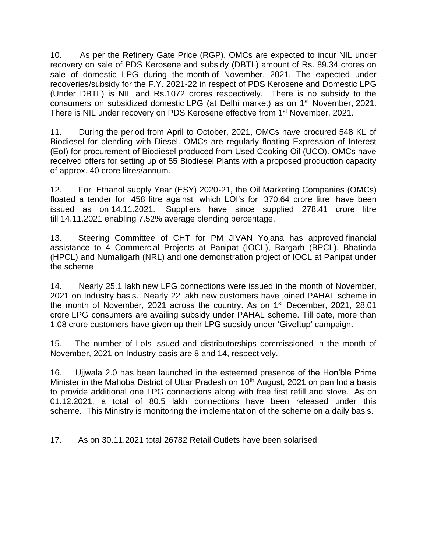10. As per the Refinery Gate Price (RGP), OMCs are expected to incur NIL under recovery on sale of PDS Kerosene and subsidy (DBTL) amount of Rs. 89.34 crores on sale of domestic LPG during the month of November, 2021. The expected under recoveries/subsidy for the F.Y. 2021-22 in respect of PDS Kerosene and Domestic LPG (Under DBTL) is NIL and Rs.1072 crores respectively. There is no subsidy to the consumers on subsidized domestic LPG (at Delhi market) as on 1st November, 2021. There is NIL under recovery on PDS Kerosene effective from 1<sup>st</sup> November, 2021.

11. During the period from April to October, 2021, OMCs have procured 548 KL of Biodiesel for blending with Diesel. OMCs are regularly floating Expression of Interest (EoI) for procurement of Biodiesel produced from Used Cooking Oil (UCO). OMCs have received offers for setting up of 55 Biodiesel Plants with a proposed production capacity of approx. 40 crore litres/annum.

12. For Ethanol supply Year (ESY) 2020-21, the Oil Marketing Companies (OMCs) floated a tender for 458 litre against which LOI's for 370.64 crore litre have been issued as on 14.11.2021. Suppliers have since supplied 278.41 crore litre till 14.11.2021 enabling 7.52% average blending percentage.

13. Steering Committee of CHT for PM JIVAN Yojana has approved financial assistance to 4 Commercial Projects at Panipat (IOCL), Bargarh (BPCL), Bhatinda (HPCL) and Numaligarh (NRL) and one demonstration project of IOCL at Panipat under the scheme

14. Nearly 25.1 lakh new LPG connections were issued in the month of November, 2021 on Industry basis. Nearly 22 lakh new customers have joined PAHAL scheme in the month of November, 2021 across the country. As on 1<sup>st</sup> December, 2021, 28.01 crore LPG consumers are availing subsidy under PAHAL scheme. Till date, more than 1.08 crore customers have given up their LPG subsidy under 'GiveItup' campaign.

15. The number of LoIs issued and distributorships commissioned in the month of November, 2021 on Industry basis are 8 and 14, respectively.

16. Ujjwala 2.0 has been launched in the esteemed presence of the Hon'ble Prime Minister in the Mahoba District of Uttar Pradesh on 10<sup>th</sup> August, 2021 on pan India basis to provide additional one LPG connections along with free first refill and stove. As on 01.12.2021, a total of 80.5 lakh connections have been released under this scheme. This Ministry is monitoring the implementation of the scheme on a daily basis.

17. As on 30.11.2021 total 26782 Retail Outlets have been solarised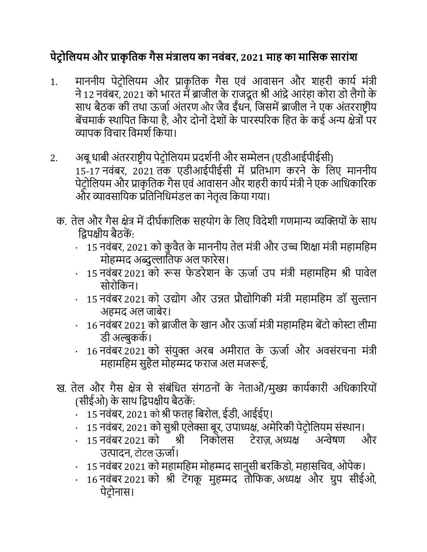## **पेट्र ोलियम और प्राकृ लिक गैस मंत्रािय का नवंबर, 2021 माह का मालसक सारांश**

- 1. माननीय पेटोलियम और प्राकृतिक गैस एवं आवासन और शहरी कार्य मंत्री ने 12 नवंबर, 2021 को भारत में ब्राजील के राजदूत श्री आंद्रे आरंहा कोरा डो लैगो के साथ बैठक की तथा ऊर्जा अंतरण और जैव ईंधन, जिसमें ब्राजील ने एक अंतरराष्ट्रीय बेंचमार्क स्थापित किया है, और दोनों देशों के पारस्परिक हित के कई अन्य क्षेत्रों पर व्यापक विचार विमर्श किया।
- 2. अबू धाबी अंतरराष्ट्रीय पेट्रोलियम प्रदर्शनी और सम्मेलन (एडीआईपीईसी) 15-17 नवंबर, 2021 िक एडीआईपीईसी मेंप्रलिभाग करने के लिए माननीय पेट्रोलियम और प्राकृतिक गैस एवं आवासन और शहरी कार्य मंत्री ने एक आधिकारिक और व्यावसायिक प्रतिनिधिमंडल का नेतृत्व किया गया।
	- क. तेल और गैस क्षेत्र में दीर्घकालिक सहयोग के लिए विदेशी गणमान्य व्यक्तियों के साथ लिपक्षीय बैठकें:
		- 15 नवंबर, 2021 को कुवैत के माननीय तेल मंत्री और उच्च शिक्षा मंत्री महामहिम मोहम्मद अब्दुल्लातिफ अल फारेस।
		- 15 नवंबर 2021 को रूस फेडरेशन के ऊर्जा उप मंत्री महामहिम श्री पावेल सोरोलकन।
		- · 15 नवंबर 2021 को उद्योग और उन्नि प्रौद्योलगकी मंत्री महामलहम डॉ सुल्तान अहमद अल जाबेर।
		- 16 नवंबर 2021 को ब्राजील के खान और ऊर्जा मंत्री महामहिम बेंटो कोस्टा लीमा डी अल्बुकके।
		- $\cdot$  16 नवंबर 2021 को संयुक्त अरब अमीरात के ऊर्जा और अवसंरचना मंत्री महामहिम सुहैल मोहम्मद फराज अल मजरूई,
	- ख. तेल और गैस क्षेत्र से संबंधित संगठनों के नेताओं/मुख्य कार्यकारी अधिकारियों (सीईओ) के साथ लिपक्षीय बैठकें:
		- 15 नवंबर, 2021 को श्री फतह बिरोल, ईडी, आईईए।
		- 15 नवंबर, 2021 को सुश्री एलेक्सा बूर, उपाध्यक्ष, अमेरिकी पेट्रोलियम संस्थान।
		- · 15 नवंबर 2021 को श्री लनकोिस ट्ेराज़, अध्यक्ष अन्वेषण और उत्पादन, टोटल ऊर्जा।
		- · 15 नवंबर 2021 को महामलहम मोहम्मद सानुसी बरलकं डो, महासलचव, ओपेक।
		- · 16 नवंबर 2021 को श्री ट्ेंगकू मुहम्मद िौलफक, अध्यक्ष और ग्रुप सीईओ, पेट्रोनास।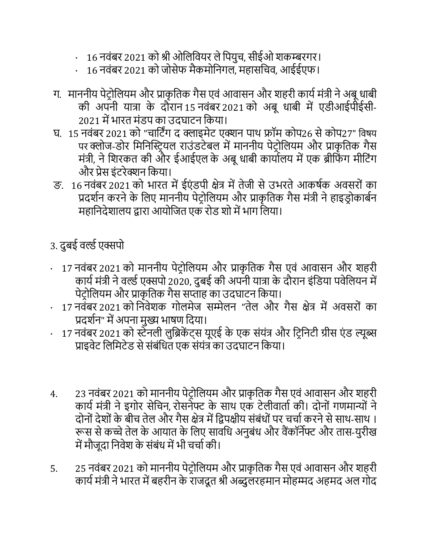- 16 नवंबर 2021 को श्री ओलिवियर ले पियुच, सीईओ शकम्बरगर।
- · 16 नवंबर 2021 को जोसेफ मैकमोलनगि, महासलचव, आईईएफ।
- ग. माननीय पेट्रोलियम और प्राकृतिक गैस एवं आवासन और शहरी कार्य मंत्री ने अबू धाबी की अपनी यात्रा के दौरान 15 नवंबर 2021 को अबूधाबी मेंएडीआईपीईसी- 2021 में भारत मंडप का उदघाटन किया।
- र्. 15 नवंबर 2021 को "चालट्िंग द क्लाइमेट् एक्शन पाथ फ्रॉम कोप26 सेकोप27" लवषय पर क्लोज-डोर मिनिस्टियल राउंडटेबल में माननीय पेटोलियम और प्राकृतिक गैस मंत्री, ने शिरकत की और ईआईएल के अबू धाबी कार्यालय में एक ब्रीफिंग मीटिंग और प्रेस इंट्रेक्शन लकया।
- ङ. 16 नवंबर 2021 को भारत में ईएंडपी क्षेत्र में तेजी से उभरते आकर्षक अवसरों का प्रदर्शन करने के लिए माननीय पेट्रोलियम और प्राकृतिक गैस मंत्री ने हाइड्रोकार्बन महानिदेशालय द्वारा आयोजित एक रोड शो में भाग लिया।

## 3. दुबई वर्ल्ड एक्सपो

- 17 नवंबर 2021 को माननीय पेट्रोलियम और प्राकृतिक गैस एवं आवासन और शहरी कार्य मंत्री ने वर्ल्ड एक्सपो 2020, दुबई की अपनी यात्रा के दौरान इंडिया पवेलियन में पेट़ोलियम और प्राकृतिक गैस सप्ताह का उदघाटन किया।
- 17 नवंबर 2021 को निवेशक गोलमेज सम्मेलन "तेल और गैस क्षेत्र में अवसरों का प्रदर्शन" में अपना मुख्य भाषण दिया।
- 17 नवंबर 2021 को स्टेनली लुब्रिकेंट्स यूएई के एक संयंत्र और ट्रिनिटी ग्रीस एंड ल्यूब्स प्राइवेट लिमिटेड से संबंधित एक संयंत्र का उदघाटन किया।
- 4. 23 नवंबर 2021 को माननीय पेट्रोलियम और प्राकृतिक गैस एवं आवासन और शहरी कार्य मंत्री ने इगोर सेचिन, रोसनेफ्ट के साथ एक टेलीवार्ता की। दोनों गणमान्यों ने दोनों देशों के बीच तेल और गैस क्षेत्र में द्विपक्षीय संबंधों पर चर्चा करने से साथ-साथ । रूस से कच्चे तेल के आयात के लिए सावधि अनुबंध और वैंकॉर्नेफ्ट और तास-युरीख में मौजूदा निवेश के संबंध में भी चर्चा की।
- 5. 25 नवंबर 2021 को माननीय पेट्रोलियम और प्राकृतिक गैस एवं आवासन और शहरी कार्य मंत्री ने भारत में बहरीन के राजदूत श्री अब्दुलरहमान मोहम्मद अहमद अल गोद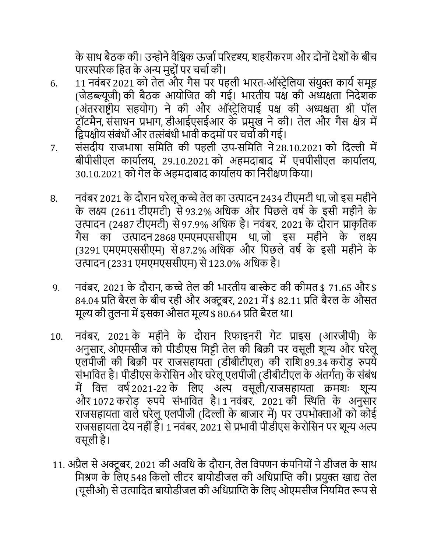के साथ बैठक की। उन्होने वैश्विक ऊर्जा परिदृश्य, शहरीकरण और दोनों देशों के बीच पारस्परिक हित के अन्य मद्दों पर चर्चा की।

- 6. 11 नवंबर 2021 को तेल और गैस पर पहली भारत-ऑस्ट्रेलिया संयुक्त कार्य समूह (जेडब्ल्यूजी) की बैठक आयोजित की गई। भारतीय पक्ष की अध्यक्षता निदेशक (अंतरराष्ट्रीय सहयोग) ने की और ऑस्ट्रेलियाई पक्ष की अध्यक्षता श्री पॉल ट्रॉटमैन, संसाधन प्रभाग, डीआईएसईआर के प्रमुख ने की। तेल और गैस क्षेत्र में द्विपक्षीय संबंधों और तत्संबंधी भावी कदमों पर चर्चो की गई।
- 7. संसदीय राजभाषा समिति की पहली उप-समिति ने 28.10.2021 को दिल्ली में बीपीसीएि कायायिय, 29.10.2021 को अहमदाबाद में एचपीसीएि कायायिय, 30.10.2021 को गेल के अहमदाबाद कार्यालय का निरीक्षण किया।
- 8. नवंबर 2021 के दौरान घरेलू कच्चे तेल का उत्पादन 2434 टीएमटी था, जो इस महीने के लक्ष्य (2611 टीएमटी) से 93.2% अधिक और पिछले वर्ष के इसी महीने के उत्पादन (2487 टीएमटी) से 97.9% अधिक है। नवंबर, 2021 के दौरान प्राकृतिक गैस का उत्पादन 2868 एमएमएससीएम था, जो इस महीने के िक्ष्य (3291 एमएमएससीएम) से 87.2% अधिक और पिछले वर्ष के इसी महीने के उत्पादन (2331 एमएमएससीएम) से 123.0% अधिक है।
- 9. नवंबर, 2021 के दौरान, कच्चे तेल की भारतीय बास्केट की कीमत \$ 71.65 और \$ 84.04 प्रति बैरल के बीच रही और अक्टूबर, 2021 में \$ 82.11 प्रति बैरल के औसत मूल्य की तुलना में इसका औसत मूल्य \$ 80.64 प्रति बैरल था।
- 10. नवंबर, 2021 के महीने के दौरान ररफाइनरी गेट् प्राइस (आरजीपी) के अनुसार, ओएमसीज को पीडीएस मिट्टी तेल की बिक्री पर वसूली शून्य और घरेलू एलपीजी की बिक्री पर राजसहायता (डीबीटीएल) की राशि 89.34 करोड़ रुपये संभावित है। पीडीएस केरोसिन और घरेलू एलपीजी (डीबीटीएल के अंतर्गत) के संबंध में वित्त वर्ष2021-22 के लिए अल्प वसूली/राजसहायता क्रमशः शून्य और 1072 करोड़ रुपये संभावित है। 1 नवंबर, 2021 की स्थिति के अनुसार राजसहायता वाले घरेलू एलपीजी (दिल्ली के बाजार में) पर उपभोक्ताओं को कोई राजसहायिा देय नही ंहै। 1 नवंबर, 2021 सेप्रभावी पीडीएस के रोलसन पर शून्य अल्प वसूली है।
- 11. अप्रैल से अक्टूबर, 2021 की अवधि के दौरान, तेल विपणन कंपनियों ने डीजल के साथ मिश्रण के लिए 548 किलो लीटर बायोडीजल की अधिप्राप्ति की। प्रयुक्त खाद्य तेल (यूसीओ) से उत्पादित बायोडीजल की अधिप्राप्ति के लिए ओएमसीज नियमित रूप से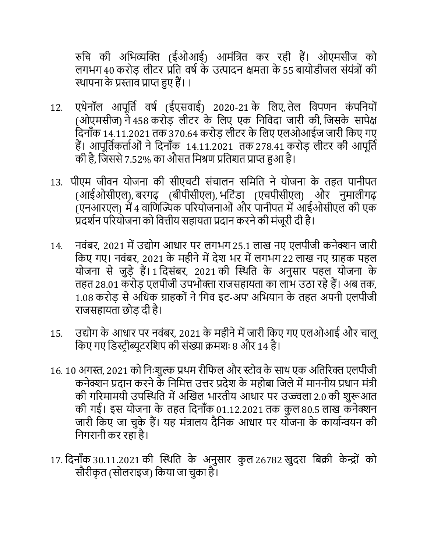रुलच की अलभव्यक्ति (ईओआई) आमंलत्रि कर रही हैं। ओएमसीज को लगभग 40 करोड़ लीटर प्रति वर्ष के उत्पादन क्षमता के 55 बायोडीजल संयंत्रों की स्थापना के प्रस्ताव प्राप्त हुए हैं। ।

- 12. एथेनॉल आपूर्ति वर्ष (ईएसवाई) 2020-21 के लिए, तेल विपणन कंपनियों (ओएमसीज) ने 458 करोड़ लीटर के लिए एक निविदा जारी की, जिसके सापेक्ष दिनाँक 14.11.2021 तक 370.64 करोड़ लीटर के लिए एलओआईज जारी किए गए हैं। आपूर्तिकर्ताओं ने दिनाँक 14.11.2021 तक 278.41 करोड़ लीटर की आपूर्ति की है, जिससे 7.52% का औसत मिश्रण प्रतिशत प्राप्त हुआ है।
- 13. पीएम जीवन योजना की सीएचटी संचालन समिति ने योजना के तहत पानीपत (आईओसीएल), बरगढ़ (बीपीसीएल), भटिंडा (एचपीसीएल) और नुमालीगढ़ (एनआरएल) में 4 वाणिज्यिक परियोजनाओं और पानीपत में आईओसीएल की एक प्रदर्शन परियोजना को वित्तीय सहायता प्रदान करने की मंजूरी दी है।
- 14. नवंबर, 2021 में उद्योग आधार पर लगभग 25.1 लाख नए एलपीजी कनेक्शन जारी किए गए। नवंबर, 2021 के महीने में देश भर में लगभग 22 लाख नए ग्राहक पहल योजना से जुड़े हैं। 1 दिसंबर, 2021 की स्थिति के अनुसार पहल योजना के तहत 28.01 करोड़ एलपीजी उपभोक्ता राजसहायता का लाभ उठा रहे हैं। अब तक, 1.08 करोड़ से अधिक ग्राहकों ने 'गिव इट-अप' अभियान के तहत अपनी एलपीजी राजसहायिा छोड़ दी है।
- 15. उद्योग के आधार पर नवंबर, 2021 के महीने में जारी किए गए एलओआई और चालू लकए गए लडस्टर ीब्यूट्रलशप की संख्या क्रमशः 8 और 14 है।
- 16. 10 अगस्त, 2021 को निःशुल्क प्रथम रीफिल और स्टोव के साथ एक अतिरिक्त एलपीजी कनेक्शन प्रदान करने के निमित्त उत्तर प्रदेश के महोबा जिले में माननीय प्रधान मंत्री की गरिमामयी उपस्थिति में अखिल भारतीय आधार पर उज्ज्वला 2.0 की शुरूआत की गई। इस योजना के तहत दिनाँक 01.12.2021 तक कुल 80.5 लाख कनेक्शन जारी किए जा चुके हैं। यह मंत्रालय दैनिक आधार पर योजना के कार्यान्वयन की लनगरानी कर रहा है।
- 17. दिनाँक 30.11.2021 की स्थिति के अनुसार कुल 26782 खुदरा बिक्री केन्द्रों को सौरीकृत (सोलराइज) किया जा चुका है।